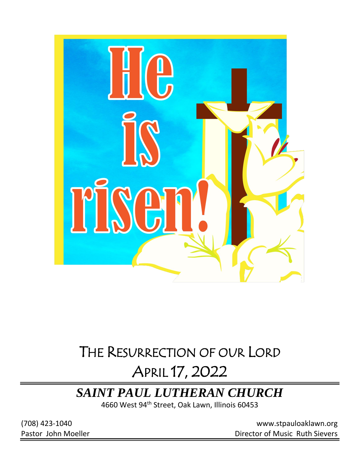

# THE RESURRECTION OF OUR LORD

# APRIL 17, 2022

# *SAINT PAUL LUTHERAN CHURCH*

4660 West 94<sup>th</sup> Street, Oak Lawn, Illinois 60453

(708) 423-1040 [www.stpauloaklawn.org](about:blank) Pastor John Moeller **Director of Music Ruth Sievers**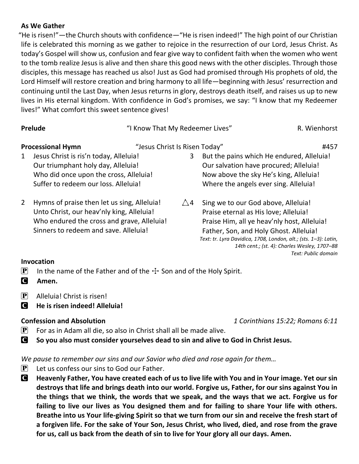## **As We Gather**

"He is risen!"—the Church shouts with confidence—"He is risen indeed!" The high point of our Christian life is celebrated this morning as we gather to rejoice in the resurrection of our Lord, Jesus Christ. As today's Gospel will show us, confusion and fear give way to confident faith when the women who went to the tomb realize Jesus is alive and then share this good news with the other disciples. Through those disciples, this message has reached us also! Just as God had promised through His prophets of old, the Lord Himself will restore creation and bring harmony to all life—beginning with Jesus' resurrection and continuing until the Last Day, when Jesus returns in glory, destroys death itself, and raises us up to new lives in His eternal kingdom. With confidence in God's promises, we say: "I know that my Redeemer lives!" What comfort this sweet sentence gives!

| Prelude                                                                                                                                                                                         | "I Know That My Redeemer Lives" |   |                                                                                                                                                                                                                                                                                          | R. Wienhorst        |
|-------------------------------------------------------------------------------------------------------------------------------------------------------------------------------------------------|---------------------------------|---|------------------------------------------------------------------------------------------------------------------------------------------------------------------------------------------------------------------------------------------------------------------------------------------|---------------------|
| <b>Processional Hymn</b><br>Jesus Christ is ris'n today, Alleluia!<br>1<br>Our triumphant holy day, Alleluia!<br>Who did once upon the cross, Alleluia!<br>Suffer to redeem our loss. Alleluia! | "Jesus Christ Is Risen Today"   | 3 | But the pains which He endured, Alleluia!<br>Our salvation have procured; Alleluia!<br>Now above the sky He's king, Alleluia!<br>Where the angels ever sing. Alleluia!                                                                                                                   | #457                |
| Hymns of praise then let us sing, Alleluia!<br>2<br>Unto Christ, our heav'nly king, Alleluia!<br>Who endured the cross and grave, Alleluia!<br>Sinners to redeem and save. Alleluia!            | $\triangle$ 4                   |   | Sing we to our God above, Alleluia!<br>Praise eternal as His love; Alleluia!<br>Praise Him, all ye heav'nly host, Alleluia!<br>Father, Son, and Holy Ghost. Alleluia!<br>Text: tr. Lyra Davidica, 1708, London, alt.; (sts. 1-3): Latin,<br>14th cent.; (st. 4): Charles Wesley, 1707-88 | Text: Public domain |

## **Invocation**

- **P** In the name of the Father and of the  $\pm$  Son and of the Holy Spirit.
- C **Amen.**
- $\left| \mathbf{P} \right|$  Alleluia! Christ is risen!
- C **He is risen indeed! Alleluia!**

**Confession and Absolution** *1 Corinthians 15:22; Romans 6:11*

- $\mathbf{P}$  For as in Adam all die, so also in Christ shall all be made alive.
- C **So you also must consider yourselves dead to sin and alive to God in Christ Jesus.**

*We pause to remember our sins and our Savior who died and rose again for them…*

- $\mathbf{P}$  Let us confess our sins to God our Father.
- C **Heavenly Father, You have created each of us to live life with You and in Your image. Yet our sin destroys that life and brings death into our world. Forgive us, Father, for our sins against You in the things that we think, the words that we speak, and the ways that we act. Forgive us for failing to live our lives as You designed them and for failing to share Your life with others. Breathe into us Your life-giving Spirit so that we turn from our sin and receive the fresh start of a forgiven life. For the sake of Your Son, Jesus Christ, who lived, died, and rose from the grave for us, call us back from the death of sin to live for Your glory all our days. Amen.**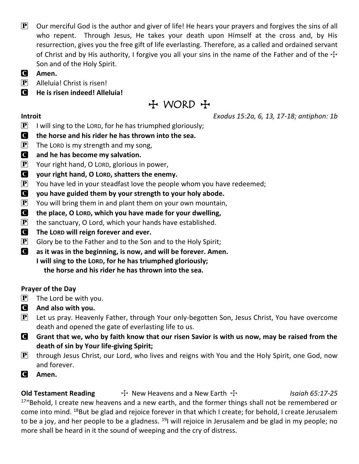- $\mathbf{P}$  Our merciful God is the author and giver of life! He hears your prayers and forgives the sins of all who repent. Through Jesus, He takes your death upon Himself at the cross and, by His resurrection, gives you the free gift of life everlasting. Therefore, as a called and ordained servant of Christ and by His authority, I forgive you all your sins in the name of the Father and of the  $\pm$ Son and of the Holy Spirit.
- C **Amen.**
- $\left| \mathbf{P} \right|$  Alleluia! Christ is risen!
- C **He is risen indeed! Alleluia!**

 $H$  WORD  $H$ 

**Introit** *Exodus 15:2a, 6, 13, 17-18; antiphon: 1b*

- $\left| \mathbf{P} \right|$  I will sing to the LORD, for he has triumphed gloriously;
- C **the horse and his rider he has thrown into the sea.**
- $\overline{P}$  The LORD is my strength and my song,
- C **and he has become my salvation.**
- $\left| \mathbf{P} \right|$  Your right hand, O LORD, glorious in power,
- C **your right hand, O LORD, shatters the enemy.**
- $\left| \mathbf{P} \right|$  You have led in your steadfast love the people whom you have redeemed;
- C **you have guided them by your strength to your holy abode.**
- $\left| \mathbf{P} \right|$  You will bring them in and plant them on your own mountain,
- C **the place, O LORD, which you have made for your dwelling,**
- $\left[ \mathbf{P} \right]$  the sanctuary, O Lord, which your hands have established.
- C **The LORD will reign forever and ever.**
- $\left| \mathbf{P} \right|$  Glory be to the Father and to the Son and to the Holy Spirit;
- C **as it was in the beginning, is now, and will be forever. Amen. I will sing to the LORD, for he has triumphed gloriously; the horse and his rider he has thrown into the sea.**

# **Prayer of the Day**

- $\mathbf{P}$  The Lord be with you.
- C **And also with you.**
- $\mathbf{P}$  Let us pray. Heavenly Father, through Your only-begotten Son, Jesus Christ, You have overcome death and opened the gate of everlasting life to us.
- C **Grant that we, who by faith know that our risen Savior is with us now, may be raised from the death of sin by Your life-giving Spirit;**
- $\left[\mathbf{P}\right]$  through Jesus Christ, our Lord, who lives and reigns with You and the Holy Spirit, one God, now and forever.
- C **Amen.**

**Old Testament Reading**  $\qquad \qquad \text{+}$  New Heavens and a New Earth  $\qquadcdot \qquad$  *Isaiah 65:17-25* <sup>17</sup>"Behold, I create new heavens and a new earth, and the former things shall not be remembered or come into mind. <sup>18</sup>But be glad and rejoice forever in that which I create; for behold, I create Jerusalem to be a joy, and her people to be a gladness.  $^{19}$ I will rejoice in Jerusalem and be glad in my people; no more shall be heard in it the sound of weeping and the cry of distress.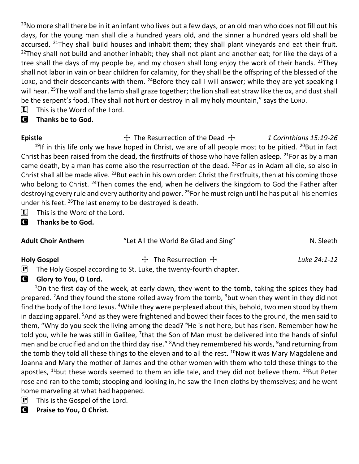<sup>20</sup>No more shall there be in it an infant who lives but a few days, or an old man who does not fill out his days, for the young man shall die a hundred years old, and the sinner a hundred years old shall be accursed. <sup>21</sup>They shall build houses and inhabit them; they shall plant vineyards and eat their fruit. <sup>22</sup>They shall not build and another inhabit; they shall not plant and another eat; for like the days of a tree shall the days of my people be, and my chosen shall long enjoy the work of their hands. <sup>23</sup>They shall not labor in vain or bear children for calamity, for they shall be the offspring of the blessed of the LORD, and their descendants with them. <sup>24</sup>Before they call I will answer; while they are yet speaking I will hear. <sup>25</sup>The wolf and the lamb shall graze together; the lion shall eat straw like the ox, and dust shall be the serpent's food. They shall not hurt or destroy in all my holy mountain," says the LORD.

 $\[\mathbf{\overline{L}}\]$  This is the Word of the Lord.

# C **Thanks be to God.**

Epistle **The Resurrection of the Dead + 1 Corinthians 15:19-26** <sup>19</sup>If in this life only we have hoped in Christ, we are of all people most to be pitied.  $20$ But in fact Christ has been raised from the dead, the firstfruits of those who have fallen asleep.  $^{21}$ For as by a man came death, by a man has come also the resurrection of the dead.  $^{22}$  For as in Adam all die, so also in Christ shall all be made alive. <sup>23</sup>But each in his own order: Christ the firstfruits, then at his coming those who belong to Christ. <sup>24</sup>Then comes the end, when he delivers the kingdom to God the Father after destroying every rule and every authority and power. <sup>25</sup> For he must reign until he has put all his enemies under his feet. <sup>26</sup>The last enemy to be destroyed is death.

- $\Box$  This is the Word of the Lord.
- C **Thanks be to God.**

| <b>Adult Choir Anthem</b> | "Let All the World Be Glad and Sing" | N. Sleeth |
|---------------------------|--------------------------------------|-----------|
|                           |                                      |           |

Holy Gospel **The Resurrection Transference Extending Luke 24:1-12** 

 $\mathbf{P}$  The Holy Gospel according to St. Luke, the twenty-fourth chapter.

# **G** Glory to You, O Lord.

 $1$ On the first day of the week, at early dawn, they went to the tomb, taking the spices they had prepared. <sup>2</sup>And they found the stone rolled away from the tomb,  $3$  but when they went in they did not find the body of the Lord Jesus. <sup>4</sup>While they were perplexed about this, behold, two men stood by them in dazzling apparel. <sup>5</sup>And as they were frightened and bowed their faces to the ground, the men said to them, "Why do you seek the living among the dead? <sup>6</sup>He is not here, but has risen. Remember how he told you, while he was still in Galilee, <sup>7</sup>that the Son of Man must be delivered into the hands of sinful men and be crucified and on the third day rise." <sup>8</sup>And they remembered his words, <sup>9</sup>and returning from the tomb they told all these things to the eleven and to all the rest.  $10N$ ow it was Mary Magdalene and Joanna and Mary the mother of James and the other women with them who told these things to the apostles,  $^{11}$ but these words seemed to them an idle tale, and they did not believe them.  $^{12}$ But Peter rose and ran to the tomb; stooping and looking in, he saw the linen cloths by themselves; and he went home marveling at what had happened.

- $\left| \mathbf{P} \right|$  This is the Gospel of the Lord.
- C **Praise to You, O Christ.**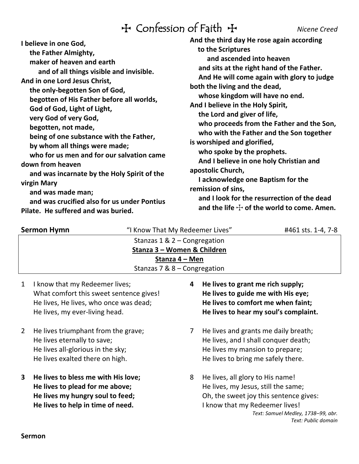# TConfession of Faith T *Nicene Creed*

| I believe in one God,<br>the Father Almighty,<br>maker of heaven and earth<br>and of all things visible and invisible.<br>And in one Lord Jesus Christ,<br>the only-begotten Son of God,<br>begotten of His Father before all worlds,<br>God of God, Light of Light,<br>very God of very God,<br>begotten, not made,<br>being of one substance with the Father,<br>by whom all things were made;<br>who for us men and for our salvation came<br>down from heaven<br>and was incarnate by the Holy Spirit of the<br>virgin Mary<br>and was made man;<br>and was crucified also for us under Pontius<br>Pilate. He suffered and was buried. | And the third day He rose again according<br>to the Scriptures<br>and ascended into heaven<br>and sits at the right hand of the Father.<br>And He will come again with glory to judge<br>both the living and the dead,<br>whose kingdom will have no end.<br>And I believe in the Holy Spirit,<br>the Lord and giver of life,<br>who proceeds from the Father and the Son,<br>who with the Father and the Son together<br>is worshiped and glorified,<br>who spoke by the prophets.<br>And I believe in one holy Christian and<br>apostolic Church,<br>I acknowledge one Baptism for the<br>remission of sins,<br>and I look for the resurrection of the dead<br>and the life $\pm$ of the world to come. Amen. |  |
|--------------------------------------------------------------------------------------------------------------------------------------------------------------------------------------------------------------------------------------------------------------------------------------------------------------------------------------------------------------------------------------------------------------------------------------------------------------------------------------------------------------------------------------------------------------------------------------------------------------------------------------------|-----------------------------------------------------------------------------------------------------------------------------------------------------------------------------------------------------------------------------------------------------------------------------------------------------------------------------------------------------------------------------------------------------------------------------------------------------------------------------------------------------------------------------------------------------------------------------------------------------------------------------------------------------------------------------------------------------------------|--|
|                                                                                                                                                                                                                                                                                                                                                                                                                                                                                                                                                                                                                                            |                                                                                                                                                                                                                                                                                                                                                                                                                                                                                                                                                                                                                                                                                                                 |  |

| <b>Sermon Hymn</b> | "I Know That My Redeemer Lives" | #461 sts. 1-4, 7-8 |
|--------------------|---------------------------------|--------------------|
|                    | Stanzas $1 \& 2$ – Congregation |                    |
|                    | Stanza 3 – Women & Children     |                    |
|                    | Stanza 4 – Men                  |                    |
|                    | Stanzas 7 & $8$ – Congregation  |                    |

- 1 I know that my Redeemer lives; What comfort this sweet sentence gives! He lives, He lives, who once was dead; He lives, my ever-living head.
- 2 He lives triumphant from the grave; He lives eternally to save; He lives all-glorious in the sky; He lives exalted there on high.
- **3 He lives to bless me with His love; He lives to plead for me above; He lives my hungry soul to feed; He lives to help in time of need.**
- **4 He lives to grant me rich supply; He lives to guide me with His eye; He lives to comfort me when faint; He lives to hear my soul's complaint.**
- 7 He lives and grants me daily breath; He lives, and I shall conquer death; He lives my mansion to prepare; He lives to bring me safely there.
- 8 He lives, all glory to His name! He lives, my Jesus, still the same; Oh, the sweet joy this sentence gives: I know that my Redeemer lives! *Text: Samuel Medley, 1738–99, abr. Text: Public domain*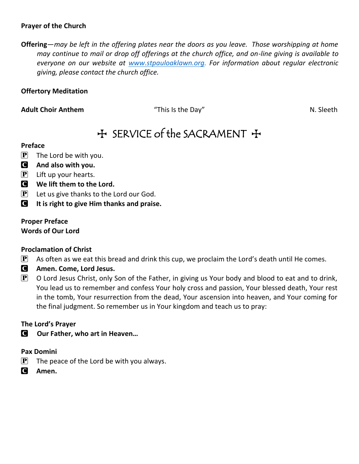## **Prayer of the Church**

**Offering**—*may be left in the offering plates near the doors as you leave. Those worshipping at home may continue to mail or drop off offerings at the church office, and on-line giving is available to everyone on our website at [www.stpauloaklawn.org.](http://www.stpauloaklawn.org/) For information about regular electronic giving, please contact the church office.* 

## **Offertory Meditation**

Adult Choir Anthem **Adult Choir Anthem 1988** This Is the Day" N. Sleeth

# $H$  SERVICE of the SACRAMENT  $H$

### **Preface**

- $\mathbf{P}$  The Lord be with you.
- C **And also with you.**
- $\left| \mathbf{P} \right|$  Lift up your hearts.
- C **We lift them to the Lord.**
- $\left[ \mathbf{P} \right]$  Let us give thanks to the Lord our God.
- C **It is right to give Him thanks and praise.**

# **Proper Preface**

**Words of Our Lord**

## **Proclamation of Christ**

- $\mathbf{P}$  As often as we eat this bread and drink this cup, we proclaim the Lord's death until He comes.
- C **Amen. Come, Lord Jesus.**
- $\mathbf{P}$  O Lord Jesus Christ, only Son of the Father, in giving us Your body and blood to eat and to drink, You lead us to remember and confess Your holy cross and passion, Your blessed death, Your rest in the tomb, Your resurrection from the dead, Your ascension into heaven, and Your coming for the final judgment. So remember us in Your kingdom and teach us to pray:

## **The Lord's Prayer**

C **Our Father, who art in Heaven…**

## **Pax Domini**

- $\left| \mathbf{P} \right|$  The peace of the Lord be with you always.
- C **Amen.**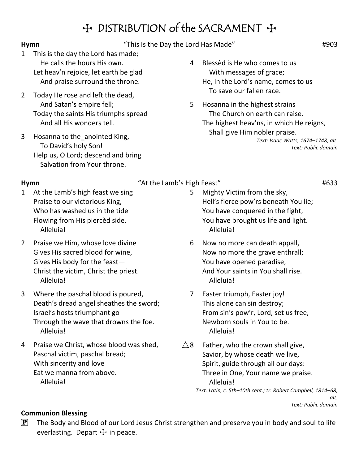# H DISTRIBUTION of the SACRAMENT +

## **Hymn**  $\qquad$   $\qquad$   $\qquad$   $\qquad$   $\qquad$   $\qquad$   $\qquad$   $\qquad$   $\qquad$   $\qquad$   $\qquad$   $\qquad$   $\qquad$   $\qquad$   $\qquad$   $\qquad$   $\qquad$   $\qquad$   $\qquad$   $\qquad$   $\qquad$   $\qquad$   $\qquad$   $\qquad$   $\qquad$   $\qquad$   $\qquad$   $\qquad$   $\qquad$   $\qquad$   $\qquad$   $\qquad$   $\qquad$   $\qquad$   $\qquad$   $\qquad$

- 1 This is the day the Lord has made; He calls the hours His own. Let heav'n rejoice, let earth be glad And praise surround the throne.
- 2 Today He rose and left the dead, And Satan's empire fell; Today the saints His triumphs spread And all His wonders tell.
- 3 Hosanna to the\_anointed King, To David's holy Son! Help us, O Lord; descend and bring Salvation from Your throne.
- 4 Blessèd is He who comes to us With messages of grace; He, in the Lord's name, comes to us To save our fallen race.
- 5 Hosanna in the highest strains The Church on earth can raise. The highest heav'ns, in which He reigns, Shall give Him nobler praise. *Text: Isaac Watts, 1674–1748, alt.*

*Text: Public domain*

### **Hymn**  $\qquad$   $\qquad$   $\qquad$   $\qquad$   $\qquad$   $\qquad$   $\qquad$   $\qquad$   $\qquad$   $\qquad$   $\qquad$   $\qquad$   $\qquad$   $\qquad$   $\qquad$   $\qquad$   $\qquad$   $\qquad$   $\qquad$   $\qquad$   $\qquad$   $\qquad$   $\qquad$   $\qquad$   $\qquad$   $\qquad$   $\qquad$   $\qquad$   $\qquad$   $\qquad$   $\qquad$   $\qquad$   $\qquad$   $\qquad$   $\qquad$   $\qquad$

- 1 At the Lamb's high feast we sing Praise to our victorious King, Who has washed us in the tide Flowing from His piercèd side. Alleluia!
- 2 Praise we Him, whose love divine Gives His sacred blood for wine, Gives His body for the feast— Christ the victim, Christ the priest. Alleluia!
- 3 Where the paschal blood is poured, Death's dread angel sheathes the sword; Israel's hosts triumphant go Through the wave that drowns the foe. Alleluia!
- 4 Praise we Christ, whose blood was shed, Paschal victim, paschal bread; With sincerity and love Eat we manna from above. Alleluia!
- 5 Mighty Victim from the sky, Hell's fierce pow'rs beneath You lie; You have conquered in the fight, You have brought us life and light. Alleluia!
- 6 Now no more can death appall, Now no more the grave enthrall; You have opened paradise, And Your saints in You shall rise. Alleluia!
- 7 Easter triumph, Easter joy! This alone can sin destroy; From sin's pow'r, Lord, set us free, Newborn souls in You to be. Alleluia!
- $\triangle$ 8 Father, who the crown shall give, Savior, by whose death we live, Spirit, guide through all our days: Three in One, Your name we praise. Alleluia! *Text: Latin, c. 5th–10th cent.; tr. Robert Campbell, 1814–68,*

*alt. Text: Public domain*

# **Communion Blessing**

 $\mathbf{P}$  The Body and Blood of our Lord Jesus Christ strengthen and preserve you in body and soul to life everlasting. Depart  $\pm$  in peace.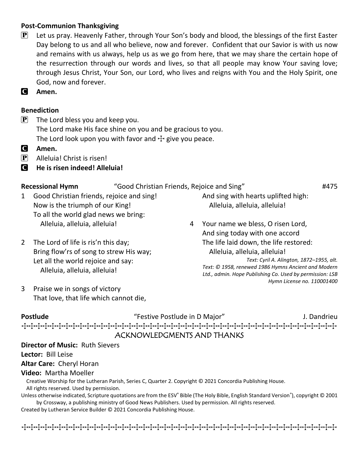# **Post-Communion Thanksgiving**

- $\mathbf{P}$  Let us pray. Heavenly Father, through Your Son's body and blood, the blessings of the first Easter Day belong to us and all who believe, now and forever. Confident that our Savior is with us now and remains with us always, help us as we go from here, that we may share the certain hope of the resurrection through our words and lives, so that all people may know Your saving love; through Jesus Christ, Your Son, our Lord, who lives and reigns with You and the Holy Spirit, one God, now and forever.
- C **Amen.**

# **Benediction**

- $\left| \mathbf{P} \right|$  The Lord bless you and keep you. The Lord make His face shine on you and be gracious to you. The Lord look upon you with favor and  $\pm$  give you peace.
- C **Amen.**
- $\left| \mathbf{P} \right|$  Alleluia! Christ is risen!
- C **He is risen indeed! Alleluia!**

**Recessional Hymn** "Good Christian Friends, Rejoice and Sing" **#475** 

- 1 Good Christian friends, rejoice and sing! Now is the triumph of our King! To all the world glad news we bring: Alleluia, alleluia, alleluia!
- 2 The Lord of life is ris'n this day; Bring flow'rs of song to strew His way; Let all the world rejoice and say: Alleluia, alleluia, alleluia!
- 3 Praise we in songs of victory That love, that life which cannot die,
- And sing with hearts uplifted high: Alleluia, alleluia, alleluia!
- 4 Your name we bless, O risen Lord, And sing today with one accord The life laid down, the life restored: Alleluia, alleluia, alleluia! *Text: Cyril A. Alington, 1872–1955, alt. Text: © 1958, renewed 1986 Hymns Ancient and Modern Ltd., admin. Hope Publishing Co. Used by permission: LSB Hymn License no. 110001400*

# **Postlude** The **Postlude** "Festive Postlude in D Major" The Designal Section of the Major Postlude in D Major The Major Section Associated D Major Section Associated D Major Section Associated D Major Section Associated D TTTTTTTTTTTTTTTTTTTTTTTTTTTTTTTTTTTTTTTTTTTTT ACKNOWLEDGMENTS AND THANKS

## **Director of Music:** Ruth Sievers

**Lector:** Bill Leise

## **Altar Care:** Cheryl Horan

### **Video:** Martha Moeller

Creative Worship for the Lutheran Parish, Series C, Quarter 2. Copyright © 2021 Concordia Publishing House. All rights reserved. Used by permission.

Unless otherwise indicated, Scripture quotations are from the ESV<sup>®</sup> Bible (The Holy Bible, English Standard Version<sup>®</sup>), copyright © 2001 by Crossway, a publishing ministry of Good News Publishers. Used by permission. All rights reserved.

Created by Lutheran Service Builder © 2021 Concordia Publishing House.

र्मकार्कानामा पर्नास्तानामा पर्नास्तानामा पर्नाणानामा पर्नातानामा पर्नाणानामा पर्नातानामा पर्नातानामा पर्नाता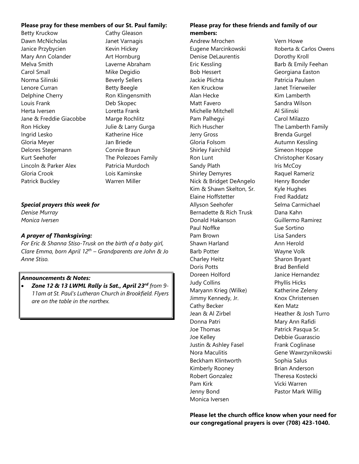### **Please pray for these members of our St. Paul family:**

Betty Kruckow Cathy Gleason Dawn McNicholas **Janet Varnagis** Janice Przybycien Kevin Hickey Mary Ann Colander **Art Hornburg** Melva Smith Laverne Abraham Carol Small Mike Degidio Norma Silinski Beverly Sellers Lenore Curran Betty Beegle Delphine Cherry Ron Klingensmith Louis Frank Deb Skopec Herta Iversen Loretta Frank Jane & Freddie Giacobbe Marge Rochlitz Ron Hickey Julie & Larry Gurga Ingrid Lesko Katherine Hice Gloria Meyer **Jan Briede** Delores Stegemann Connie Braun Kurt Seehofer The Polezoes Family Lincoln & Parker Alex Patricia Murdoch Gloria Crook Lois Kaminske Patrick Buckley Warren Miller

### *Special prayers this week for*

*Denise Murray Monica Iversen* 

### *A prayer of Thanksgiving:*

*For Eric & Shanna Stiso-Trusk on the birth of a baby girl, Clare Emma, born April 12th – Grandparents are John & Jo Anne Stiso.*

### *Announcements & Notes:*

• *Zone 12 & 13 LWML Rally is Sat., April 23rd from 9- 11am at St. Paul's Lutheran Church in Brookfield. Flyers are on the table in the narthex.*

### **Please pray for these friends and family of our members:**

Andrew Mrochen Vern Howe Denise DeLaurentis **Dorothy Kroll** Eric Kessling **Barb & Emily Feehan** Bob Hessert Georgiana Easton Jackie Plichta **Patricia Paulsen** Ken Kruckow Janet Trierweiler Alan Hecke Kim Lamberth Matt Favero **Sandra Wilson** Michelle Mitchell **Al Silinski** Pam Palhegyi **Carol Milazzo** Rich Huscher The Lamberth Family Jerry Gross Brenda Gurgel Gloria Folsom Autumn Kessling Shirley Fairchild Simeon Hoppe Ron Lunt **Christopher Kosary** Sandy Plath Iris McCoy Shirley Demyres Raquel Rameriz Nick & Bridget DeAngelo Henry Bonder Kim & Shawn Skelton, Sr. Kyle Hughes Elaine Hoffstetter Fred Raddatz Allyson Seehofer Selma Carmichael Bernadette & Rich Trusk Dana Kahn Donald Hakanson Guillermo Ramirez Paul Noffke Sue Sue Sortino Pam Brown Lisa Sanders Shawn Harland **Ann Herold** Barb Potter Wayne Volk Charley Heitz Sharon Bryant Doris Potts **Brad Benfield** Doreen Holford Janice Hernandez Judy Collins Phyllis Hicks Maryann Krieg (Wilke) Katherine Zeleny Jimmy Kennedy, Jr. Knox Christensen Cathy Becker **Ken Matz** Jean & Al Zirbel Heather & Josh Turro Donna Patri **Mary Ann Rafidi** Joe Thomas **Patrick Pasqua Sr.** Joe Kelley **Debbie Guarascio** Justin & Ashley Fasel Frank Coglinase Nora Maculitis Gene Wawrzynikowski Beckham Klintworth Sophia Salus Kimberly Rooney **Brian Anderson** Robert Gonzalez Theresa Kostecki Pam Kirk **Vicki Warren** Jenny Bond Pastor Mark Willig Monica Iversen

Eugene Marcinkowski Roberta & Carlos Owens

**Please let the church office know when your need for our congregational prayers is over (708) 423-1040.**